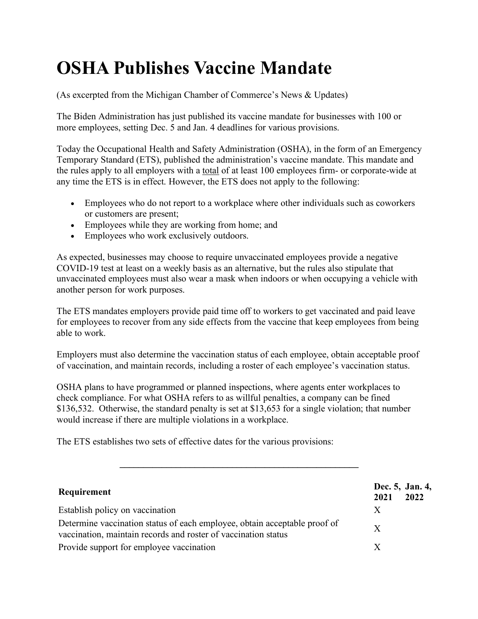## **OSHA Publishes Vaccine Mandate**

(As excerpted from the Michigan Chamber of Commerce's News & Updates)

The Biden Administration has just published its vaccine mandate for businesses with 100 or more employees, setting Dec. 5 and Jan. 4 deadlines for various provisions.

Today the Occupational Health and Safety Administration (OSHA), in the form of an Emergency Temporary Standard (ETS), published the administration's vaccine mandate. This mandate and the rules apply to all employers with a total of at least 100 employees firm- or corporate-wide at any time the ETS is in effect. However, the ETS does not apply to the following:

- Employees who do not report to a workplace where other individuals such as coworkers or customers are present;
- Employees while they are working from home; and
- Employees who work exclusively outdoors.

As expected, businesses may choose to require unvaccinated employees provide a negative COVID-19 test at least on a weekly basis as an alternative, but the rules also stipulate that unvaccinated employees must also wear a mask when indoors or when occupying a vehicle with another person for work purposes.

The ETS mandates employers provide paid time off to workers to get vaccinated and paid leave for employees to recover from any side effects from the vaccine that keep employees from being able to work.

Employers must also determine the vaccination status of each employee, obtain acceptable proof of vaccination, and maintain records, including a roster of each employee's vaccination status.

OSHA plans to have programmed or planned inspections, where agents enter workplaces to check compliance. For what OSHA refers to as willful penalties, a company can be fined \$136,532. Otherwise, the standard penalty is set at \$13,653 for a single violation; that number would increase if there are multiple violations in a workplace.

The ETS establishes two sets of effective dates for the various provisions:

| Requirement                                                                                                                                 | 2021 | Dec. 5, Jan. 4,<br>2022 |
|---------------------------------------------------------------------------------------------------------------------------------------------|------|-------------------------|
| Establish policy on vaccination                                                                                                             | X    |                         |
| Determine vaccination status of each employee, obtain acceptable proof of<br>vaccination, maintain records and roster of vaccination status | X    |                         |
| Provide support for employee vaccination                                                                                                    | X    |                         |

 $\mathcal{L} = \{ \mathcal{L} \}$